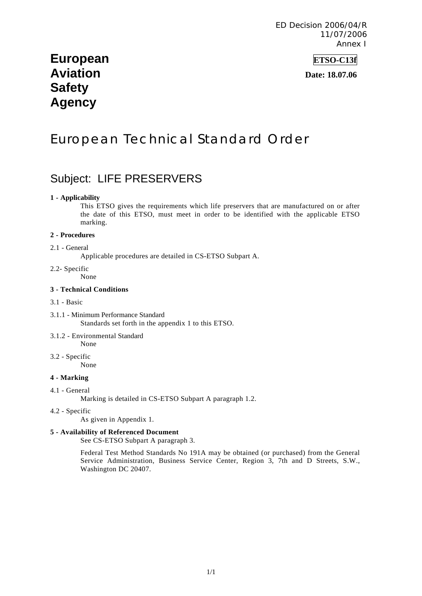# **European ETSO-C13f Aviation Date: 18.07.06 Safety Agency**

# European Technical Standard Order

# Subject: LIFE PRESERVERS

#### **1 - Applicability**

This ETSO gives the requirements which life preservers that are manufactured on or after the date of this ETSO, must meet in order to be identified with the applicable ETSO marking.

#### **2 - Procedures**

## 2.1 - General

Applicable procedures are detailed in CS-ETSO Subpart A.

### 2.2- Specific

None

#### **3 - Technical Conditions**

#### 3.1 - Basic

- 3.1.1 Minimum Performance Standard Standards set forth in the appendix 1 to this ETSO.
- 3.1.2 Environmental Standard None
- 3.2 Specific None

### **4 - Marking**

4.1 - General

Marking is detailed in CS-ETSO Subpart A paragraph 1.2.

#### 4.2 - Specific

As given in Appendix 1.

#### **5 - Availability of Referenced Document**

See CS-ETSO Subpart A paragraph 3.

Federal Test Method Standards No 191A may be obtained (or purchased) from the General Service Administration, Business Service Center, Region 3, 7th and D Streets, S.W., Washington DC 20407.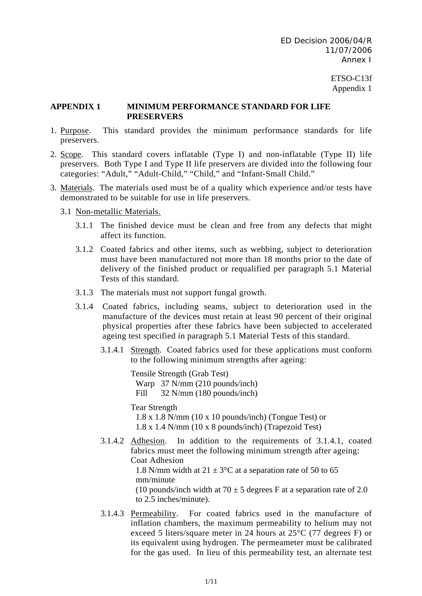> ETSO-C13f Appendix 1

### **APPENDIX 1 MINIMUM PERFORMANCE STANDARD FOR LIFE PRESERVERS**

- 1. Purpose. This standard provides the minimum performance standards for life preservers.
- 2. Scope. This standard covers inflatable (Type I) and non-inflatable (Type II) life preservers. Both Type I and Type II life preservers are divided into the following four categories: "Adult," "Adult-Child," "Child," and "Infant-Small Child."
- 3. Materials. The materials used must be of a quality which experience and/or tests have demonstrated to be suitable for use in life preservers.
	- 3.1 Non-metallic Materials.
		- 3.1.1 The finished device must be clean and free from any defects that might affect its function.
		- 3.1.2 Coated fabrics and other items, such as webbing, subject to deterioration must have been manufactured not more than 18 months prior to the date of delivery of the finished product or requalified per paragraph 5.1 Material Tests of this standard.
		- 3.1.3 The materials must not support fungal growth.
		- 3.1.4 Coated fabrics, including seams, subject to deterioration used in the manufacture of the devices must retain at least 90 percent of their original physical properties after these fabrics have been subjected to accelerated ageing test specified in paragraph 5.1 Material Tests of this standard.
			- 3.1.4.1 Strength. Coated fabrics used for these applications must conform to the following minimum strengths after ageing:

Tensile Strength (Grab Test) Warp 37 N/mm (210 pounds/inch) Fill 32 N/mm (180 pounds/inch)

Tear Strength

1.8 x 1.8 N/mm (10 x 10 pounds/inch) (Tongue Test) or 1.8 x 1.4 N/mm (10 x 8 pounds/inch) (Trapezoid Test)

3.1.4.2 Adhesion. In addition to the requirements of 3.1.4.1, coated fabrics must meet the following minimum strength after ageing: Coat Adhesion

1.8 N/mm width at  $21 \pm 3$ °C at a separation rate of 50 to 65 mm/minute

(10 pounds/inch width at  $70 \pm 5$  degrees F at a separation rate of 2.0 to 2.5 inches/minute).

3.1.4.3 Permeability. For coated fabrics used in the manufacture of inflation chambers, the maximum permeability to helium may not exceed 5 liters/square meter in 24 hours at 25°C (77 degrees F) or its equivalent using hydrogen. The permeameter must be calibrated for the gas used. In lieu of this permeability test, an alternate test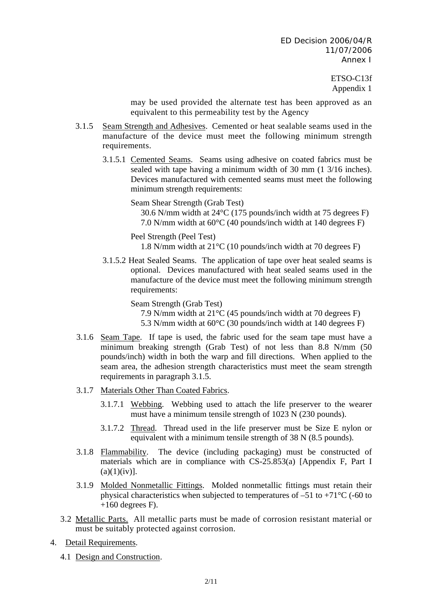> ETSO-C13f Appendix 1

may be used provided the alternate test has been approved as an equivalent to this permeability test by the Agency

- 3.1.5 Seam Strength and Adhesives. Cemented or heat sealable seams used in the manufacture of the device must meet the following minimum strength requirements.
	- 3.1.5.1 Cemented Seams. Seams using adhesive on coated fabrics must be sealed with tape having a minimum width of 30 mm (1 3/16 inches). Devices manufactured with cemented seams must meet the following minimum strength requirements:

Seam Shear Strength (Grab Test)

30.6 N/mm width at 24°C (175 pounds/inch width at 75 degrees F) 7.0 N/mm width at 60°C (40 pounds/inch width at 140 degrees F)

Peel Strength (Peel Test) 1.8 N/mm width at 21°C (10 pounds/inch width at 70 degrees F)

3.1.5.2 Heat Sealed Seams. The application of tape over heat sealed seams is optional. Devices manufactured with heat sealed seams used in the manufacture of the device must meet the following minimum strength requirements:

> Seam Strength (Grab Test) 7.9 N/mm width at 21°C (45 pounds/inch width at 70 degrees F) 5.3 N/mm width at 60°C (30 pounds/inch width at 140 degrees F)

- 3.1.6 Seam Tape. If tape is used, the fabric used for the seam tape must have a minimum breaking strength (Grab Test) of not less than 8.8 N/mm (50 pounds/inch) width in both the warp and fill directions. When applied to the seam area, the adhesion strength characteristics must meet the seam strength requirements in paragraph 3.1.5.
- 3.1.7 Materials Other Than Coated Fabrics.
	- 3.1.7.1 Webbing. Webbing used to attach the life preserver to the wearer must have a minimum tensile strength of 1023 N (230 pounds).
	- 3.1.7.2 Thread. Thread used in the life preserver must be Size E nylon or equivalent with a minimum tensile strength of 38 N (8.5 pounds).
- 3.1.8 Flammability. The device (including packaging) must be constructed of materials which are in compliance with CS-25.853(a) [Appendix F, Part I  $(a)(1)(iv)$ ].
- 3.1.9 Molded Nonmetallic Fittings. Molded nonmetallic fittings must retain their physical characteristics when subjected to temperatures of  $-51$  to  $+71^{\circ}$ C (-60 to  $+160$  degrees F).
- 3.2 Metallic Parts. All metallic parts must be made of corrosion resistant material or must be suitably protected against corrosion.
- 4. Detail Requirements.
	- 4.1 Design and Construction.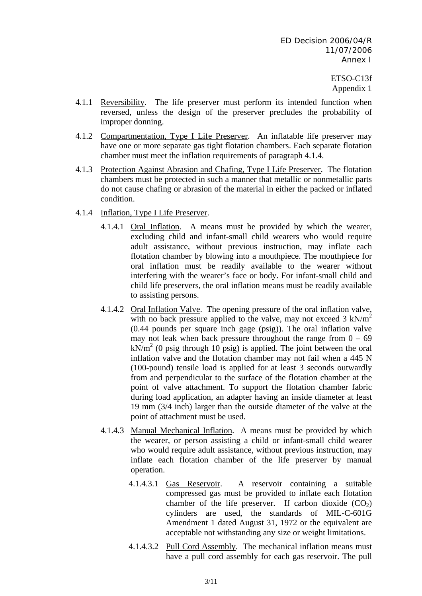- 4.1.1 Reversibility. The life preserver must perform its intended function when reversed, unless the design of the preserver precludes the probability of improper donning.
- 4.1.2 Compartmentation, Type I Life Preserver. An inflatable life preserver may have one or more separate gas tight flotation chambers. Each separate flotation chamber must meet the inflation requirements of paragraph 4.1.4.
- 4.1.3 Protection Against Abrasion and Chafing, Type I Life Preserver. The flotation chambers must be protected in such a manner that metallic or nonmetallic parts do not cause chafing or abrasion of the material in either the packed or inflated condition.
- 4.1.4 Inflation, Type I Life Preserver.
	- 4.1.4.1 Oral Inflation. A means must be provided by which the wearer, excluding child and infant-small child wearers who would require adult assistance, without previous instruction, may inflate each flotation chamber by blowing into a mouthpiece. The mouthpiece for oral inflation must be readily available to the wearer without interfering with the wearer's face or body. For infant-small child and child life preservers, the oral inflation means must be readily available to assisting persons.
	- 4.1.4.2 Oral Inflation Valve. The opening pressure of the oral inflation valve, with no back pressure applied to the valve, may not exceed  $3 \text{ kN/m}^2$ (0.44 pounds per square inch gage (psig)). The oral inflation valve may not leak when back pressure throughout the range from  $0 - 69$  $kN/m<sup>2</sup>$  (0 psig through 10 psig) is applied. The joint between the oral inflation valve and the flotation chamber may not fail when a 445 N (100-pound) tensile load is applied for at least 3 seconds outwardly from and perpendicular to the surface of the flotation chamber at the point of valve attachment. To support the flotation chamber fabric during load application, an adapter having an inside diameter at least 19 mm (3/4 inch) larger than the outside diameter of the valve at the point of attachment must be used.
	- 4.1.4.3 Manual Mechanical Inflation. A means must be provided by which the wearer, or person assisting a child or infant-small child wearer who would require adult assistance, without previous instruction, may inflate each flotation chamber of the life preserver by manual operation.
		- 4.1.4.3.1 Gas Reservoir. A reservoir containing a suitable compressed gas must be provided to inflate each flotation chamber of the life preserver. If carbon dioxide  $(CO<sub>2</sub>)$ cylinders are used, the standards of MIL-C-601G Amendment 1 dated August 31, 1972 or the equivalent are acceptable not withstanding any size or weight limitations.
		- 4.1.4.3.2 Pull Cord Assembly. The mechanical inflation means must have a pull cord assembly for each gas reservoir. The pull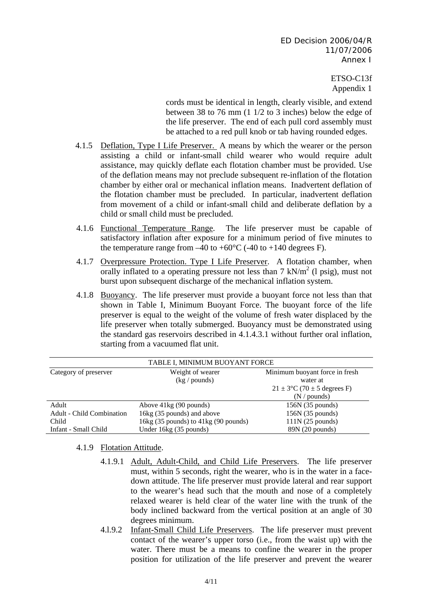> ETSO-C13f Appendix 1

cords must be identical in length, clearly visible, and extend between 38 to 76 mm (1 1/2 to 3 inches) below the edge of the life preserver. The end of each pull cord assembly must be attached to a red pull knob or tab having rounded edges.

- 4.1.5 Deflation, Type I Life Preserver. A means by which the wearer or the person assisting a child or infant-small child wearer who would require adult assistance, may quickly deflate each flotation chamber must be provided. Use of the deflation means may not preclude subsequent re-inflation of the flotation chamber by either oral or mechanical inflation means. Inadvertent deflation of the flotation chamber must be precluded. In particular, inadvertent deflation from movement of a child or infant-small child and deliberate deflation by a child or small child must be precluded.
- 4.1.6 Functional Temperature Range. The life preserver must be capable of satisfactory inflation after exposure for a minimum period of five minutes to the temperature range from  $-40$  to  $+60^{\circ}$ C ( $-40$  to  $+140$  degrees F).
- 4.1.7 Overpressure Protection. Type I Life Preserver. A flotation chamber, when orally inflated to a operating pressure not less than  $7 \text{ kN/m}^2$  (1 psig), must not burst upon subsequent discharge of the mechanical inflation system.
- 4.1.8 Buoyancy. The life preserver must provide a buoyant force not less than that shown in Table I, Minimum Buoyant Force. The buoyant force of the life preserver is equal to the weight of the volume of fresh water displaced by the life preserver when totally submerged. Buoyancy must be demonstrated using the standard gas reservoirs described in 4.1.4.3.1 without further oral inflation, starting from a vacuumed flat unit.

| TABLE I, MINIMUM BUOYANT FORCE   |                                      |                                            |  |  |  |
|----------------------------------|--------------------------------------|--------------------------------------------|--|--|--|
| Category of preserver            | Weight of wearer<br>(kg / pounds)    | Minimum buoyant force in fresh<br>water at |  |  |  |
|                                  |                                      | $21 \pm 3$ °C (70 ± 5 degrees F)           |  |  |  |
|                                  |                                      | $(N /$ pounds)                             |  |  |  |
| Adult                            | Above 41kg (90 pounds)               | $156N$ (35 pounds)                         |  |  |  |
| <b>Adult - Child Combination</b> | 16kg (35 pounds) and above           | $156N$ (35 pounds)                         |  |  |  |
| Child                            | 16kg (35 pounds) to 41kg (90 pounds) | $111N$ (25 pounds)                         |  |  |  |
| Infant - Small Child             | Under 16kg (35 pounds)               | 89N(20 pounds)                             |  |  |  |

4.1.9 Flotation Attitude.

- 4.1.9.1 Adult, Adult-Child, and Child Life Preservers. The life preserver must, within 5 seconds, right the wearer, who is in the water in a facedown attitude. The life preserver must provide lateral and rear support to the wearer's head such that the mouth and nose of a completely relaxed wearer is held clear of the water line with the trunk of the body inclined backward from the vertical position at an angle of 30 degrees minimum.
- 4.l.9.2 Infant-Small Child Life Preservers. The life preserver must prevent contact of the wearer's upper torso (i.e., from the waist up) with the water. There must be a means to confine the wearer in the proper position for utilization of the life preserver and prevent the wearer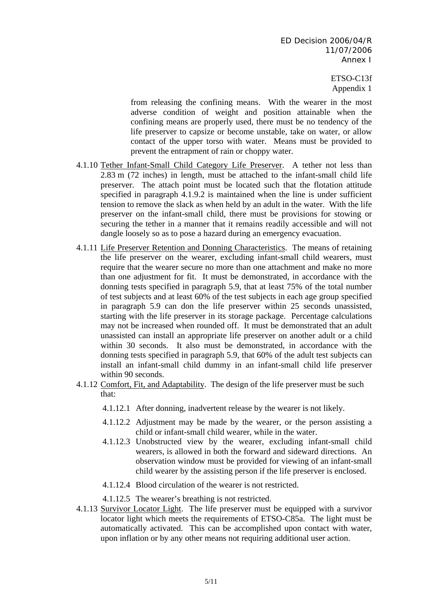> ETSO-C13f Appendix 1

from releasing the confining means. With the wearer in the most adverse condition of weight and position attainable when the confining means are properly used, there must be no tendency of the life preserver to capsize or become unstable, take on water, or allow contact of the upper torso with water. Means must be provided to prevent the entrapment of rain or choppy water.

- 4.1.10 Tether Infant-Small Child Category Life Preserver. A tether not less than 2.83 m (72 inches) in length, must be attached to the infant-small child life preserver. The attach point must be located such that the flotation attitude specified in paragraph 4.1.9.2 is maintained when the line is under sufficient tension to remove the slack as when held by an adult in the water. With the life preserver on the infant-small child, there must be provisions for stowing or securing the tether in a manner that it remains readily accessible and will not dangle loosely so as to pose a hazard during an emergency evacuation.
- 4.1.11 Life Preserver Retention and Donning Characteristics. The means of retaining the life preserver on the wearer, excluding infant-small child wearers, must require that the wearer secure no more than one attachment and make no more than one adjustment for fit. It must be demonstrated, in accordance with the donning tests specified in paragraph 5.9, that at least 75% of the total number of test subjects and at least 60% of the test subjects in each age group specified in paragraph 5.9 can don the life preserver within 25 seconds unassisted, starting with the life preserver in its storage package. Percentage calculations may not be increased when rounded off. It must be demonstrated that an adult unassisted can install an appropriate life preserver on another adult or a child within 30 seconds. It also must be demonstrated, in accordance with the donning tests specified in paragraph 5.9, that 60% of the adult test subjects can install an infant-small child dummy in an infant-small child life preserver within 90 seconds.
- 4.1.12 Comfort, Fit, and Adaptability. The design of the life preserver must be such that:
	- 4.1.12.1 After donning, inadvertent release by the wearer is not likely.
	- 4.1.12.2 Adjustment may be made by the wearer, or the person assisting a child or infant-small child wearer, while in the water.
	- 4.1.12.3 Unobstructed view by the wearer, excluding infant-small child wearers, is allowed in both the forward and sideward directions. An observation window must be provided for viewing of an infant-small child wearer by the assisting person if the life preserver is enclosed.
	- 4.1.12.4 Blood circulation of the wearer is not restricted.
	- 4.1.12.5 The wearer's breathing is not restricted.
- 4.1.13 Survivor Locator Light. The life preserver must be equipped with a survivor locator light which meets the requirements of ETSO-C85a. The light must be automatically activated. This can be accomplished upon contact with water, upon inflation or by any other means not requiring additional user action.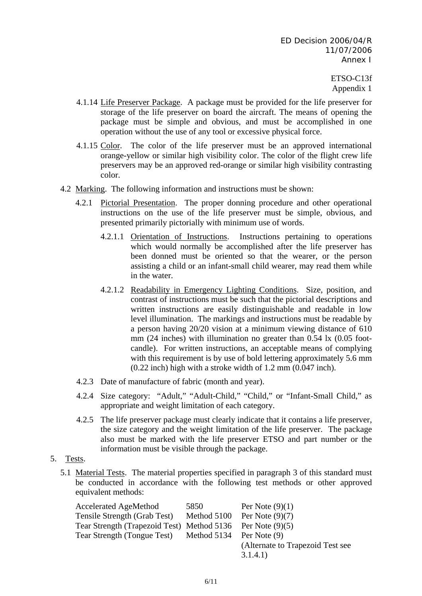- 4.1.14 Life Preserver Package. A package must be provided for the life preserver for storage of the life preserver on board the aircraft. The means of opening the package must be simple and obvious, and must be accomplished in one operation without the use of any tool or excessive physical force.
- 4.1.15 Color. The color of the life preserver must be an approved international orange-yellow or similar high visibility color. The color of the flight crew life preservers may be an approved red-orange or similar high visibility contrasting color.
- 4.2 Marking. The following information and instructions must be shown:
	- 4.2.1 Pictorial Presentation. The proper donning procedure and other operational instructions on the use of the life preserver must be simple, obvious, and presented primarily pictorially with minimum use of words.
		- 4.2.1.1 Orientation of Instructions. Instructions pertaining to operations which would normally be accomplished after the life preserver has been donned must be oriented so that the wearer, or the person assisting a child or an infant-small child wearer, may read them while in the water.
		- 4.2.1.2 Readability in Emergency Lighting Conditions. Size, position, and contrast of instructions must be such that the pictorial descriptions and written instructions are easily distinguishable and readable in low level illumination. The markings and instructions must be readable by a person having 20/20 vision at a minimum viewing distance of 610 mm (24 inches) with illumination no greater than 0.54 lx (0.05 footcandle). For written instructions, an acceptable means of complying with this requirement is by use of bold lettering approximately 5.6 mm (0.22 inch) high with a stroke width of 1.2 mm (0.047 inch).
	- 4.2.3 Date of manufacture of fabric (month and year).
	- 4.2.4 Size category: "Adult," "Adult-Child," "Child," or "Infant-Small Child," as appropriate and weight limitation of each category.
	- 4.2.5 The life preserver package must clearly indicate that it contains a life preserver, the size category and the weight limitation of the life preserver. The package also must be marked with the life preserver ETSO and part number or the information must be visible through the package.
- 5. Tests.
	- 5.1 Material Tests. The material properties specified in paragraph 3 of this standard must be conducted in accordance with the following test methods or other approved equivalent methods:

| <b>Accelerated AgeMethod</b>               | 5850                       | Per Note $(9)(1)$                |  |
|--------------------------------------------|----------------------------|----------------------------------|--|
| Tensile Strength (Grab Test)               | Method 5100                | Per Note $(9)(7)$                |  |
| Tear Strength (Trapezoid Test) Method 5136 |                            | Per Note $(9)(5)$                |  |
| Tear Strength (Tongue Test)                | Method $5134$ Per Note (9) |                                  |  |
|                                            |                            | (Alternate to Trapezoid Test see |  |
|                                            |                            | 3.1.4.1)                         |  |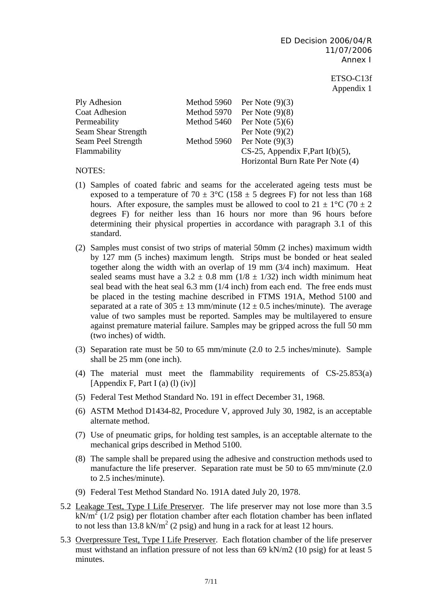> ETSO-C13f Appendix 1

| Ply Adhesion         | Method 5960 | Per Note $(9)(3)$                   |
|----------------------|-------------|-------------------------------------|
| <b>Coat Adhesion</b> | Method 5970 | Per Note $(9)(8)$                   |
| Permeability         | Method 5460 | Per Note $(5)(6)$                   |
| Seam Shear Strength  |             | Per Note $(9)(2)$                   |
| Seam Peel Strength   | Method 5960 | Per Note $(9)(3)$                   |
| Flammability         |             | $CS-25$ , Appendix F, Part I(b)(5), |
|                      |             | Horizontal Burn Rate Per Note (4)   |

### NOTES:

- (1) Samples of coated fabric and seams for the accelerated ageing tests must be exposed to a temperature of 70  $\pm$  3°C (158  $\pm$  5 degrees F) for not less than 168 hours. After exposure, the samples must be allowed to cool to  $21 \pm 1\degree C$  (70  $\pm 2$ ) degrees F) for neither less than 16 hours nor more than 96 hours before determining their physical properties in accordance with paragraph 3.1 of this standard.
- (2) Samples must consist of two strips of material 50mm (2 inches) maximum width by 127 mm (5 inches) maximum length. Strips must be bonded or heat sealed together along the width with an overlap of 19 mm (3/4 inch) maximum. Heat sealed seams must have a  $3.2 \pm 0.8$  mm ( $1/8 \pm 1/32$ ) inch width minimum heat seal bead with the heat seal 6.3 mm (1/4 inch) from each end. The free ends must be placed in the testing machine described in FTMS 191A, Method 5100 and separated at a rate of  $305 \pm 13$  mm/minute ( $12 \pm 0.5$  inches/minute). The average value of two samples must be reported. Samples may be multilayered to ensure against premature material failure. Samples may be gripped across the full 50 mm (two inches) of width.
- (3) Separation rate must be 50 to 65 mm/minute (2.0 to 2.5 inches/minute). Sample shall be 25 mm (one inch).
- (4) The material must meet the flammability requirements of CS-25.853(a) [Appendix F, Part I (a) (l) (iv)]
- (5) Federal Test Method Standard No. 191 in effect December 31, 1968.
- (6) ASTM Method D1434-82, Procedure V, approved July 30, 1982, is an acceptable alternate method.
- (7) Use of pneumatic grips, for holding test samples, is an acceptable alternate to the mechanical grips described in Method 5100.
- (8) The sample shall be prepared using the adhesive and construction methods used to manufacture the life preserver. Separation rate must be 50 to 65 mm/minute (2.0 to 2.5 inches/minute).
- (9) Federal Test Method Standard No. 191A dated July 20, 1978.
- 5.2 Leakage Test, Type I Life Preserver. The life preserver may not lose more than 3.5  $kN/m<sup>2</sup>$  (1/2 psig) per flotation chamber after each flotation chamber has been inflated to not less than  $13.8 \text{ kN/m}^2$  (2 psig) and hung in a rack for at least 12 hours.
- 5.3 Overpressure Test, Type I Life Preserver. Each flotation chamber of the life preserver must withstand an inflation pressure of not less than 69 kN/m2 (10 psig) for at least 5 minutes.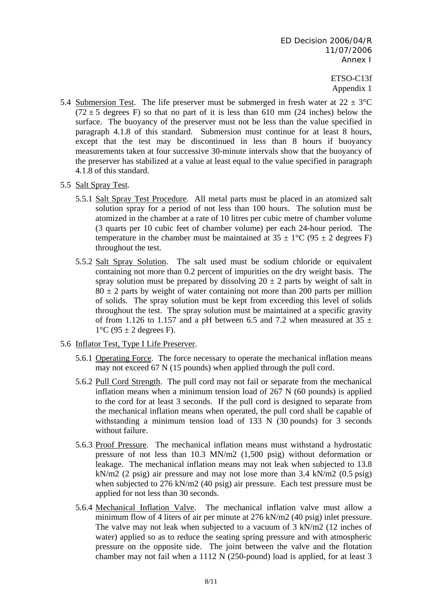- 5.4 Submersion Test. The life preserver must be submerged in fresh water at  $22 \pm 3$ °C  $(72 \pm 5$  degrees F) so that no part of it is less than 610 mm (24 inches) below the surface. The buoyancy of the preserver must not be less than the value specified in paragraph 4.1.8 of this standard. Submersion must continue for at least 8 hours, except that the test may be discontinued in less than 8 hours if buoyancy measurements taken at four successive 30-minute intervals show that the buoyancy of the preserver has stabilized at a value at least equal to the value specified in paragraph 4.1.8 of this standard.
- 5.5 Salt Spray Test.
	- 5.5.1 Salt Spray Test Procedure. All metal parts must be placed in an atomized salt solution spray for a period of not less than 100 hours. The solution must be atomized in the chamber at a rate of 10 litres per cubic metre of chamber volume (3 quarts per 10 cubic feet of chamber volume) per each 24-hour period. The temperature in the chamber must be maintained at  $35 \pm 1$ °C (95  $\pm$  2 degrees F) throughout the test.
	- 5.5.2 Salt Spray Solution. The salt used must be sodium chloride or equivalent containing not more than 0.2 percent of impurities on the dry weight basis. The spray solution must be prepared by dissolving  $20 \pm 2$  parts by weight of salt in  $80 \pm 2$  parts by weight of water containing not more than 200 parts per million of solids. The spray solution must be kept from exceeding this level of solids throughout the test. The spray solution must be maintained at a specific gravity of from 1.126 to 1.157 and a pH between 6.5 and 7.2 when measured at 35  $\pm$  $1^{\circ}$ C (95  $\pm$  2 degrees F).
- 5.6 Inflator Test, Type I Life Preserver.
	- 5.6.1 Operating Force. The force necessary to operate the mechanical inflation means may not exceed 67 N (15 pounds) when applied through the pull cord.
	- 5.6.2 Pull Cord Strength. The pull cord may not fail or separate from the mechanical inflation means when a minimum tension load of 267 N (60 pounds) is applied to the cord for at least 3 seconds. If the pull cord is designed to separate from the mechanical inflation means when operated, the pull cord shall be capable of withstanding a minimum tension load of 133 N (30 pounds) for 3 seconds without failure.
	- 5.6.3 Proof Pressure. The mechanical inflation means must withstand a hydrostatic pressure of not less than 10.3 MN/m2 (1,500 psig) without deformation or leakage. The mechanical inflation means may not leak when subjected to 13.8 kN/m2 (2 psig) air pressure and may not lose more than 3.4 kN/m2 (0.5 psig) when subjected to 276 kN/m2 (40 psig) air pressure. Each test pressure must be applied for not less than 30 seconds.
	- 5.6.4 Mechanical Inflation Valve. The mechanical inflation valve must allow a minimum flow of 4 liters of air per minute at 276 kN/m2 (40 psig) inlet pressure. The valve may not leak when subjected to a vacuum of 3 kN/m2 (12 inches of water) applied so as to reduce the seating spring pressure and with atmospheric pressure on the opposite side. The joint between the valve and the flotation chamber may not fail when a 1112 N (250-pound) load is applied, for at least 3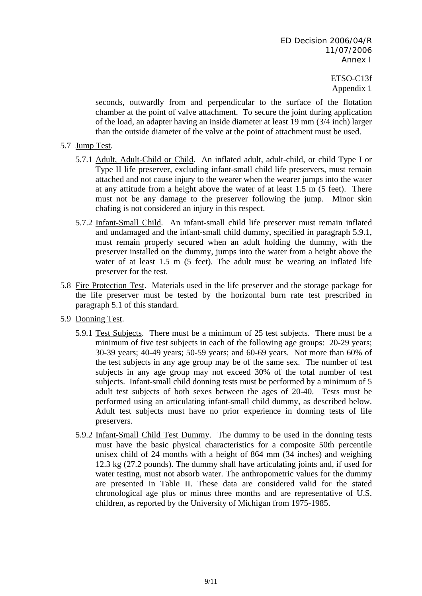seconds, outwardly from and perpendicular to the surface of the flotation chamber at the point of valve attachment. To secure the joint during application of the load, an adapter having an inside diameter at least 19 mm (3/4 inch) larger than the outside diameter of the valve at the point of attachment must be used.

- 5.7 Jump Test.
	- 5.7.1 Adult, Adult-Child or Child. An inflated adult, adult-child, or child Type I or Type II life preserver, excluding infant-small child life preservers, must remain attached and not cause injury to the wearer when the wearer jumps into the water at any attitude from a height above the water of at least 1.5 m (5 feet). There must not be any damage to the preserver following the jump. Minor skin chafing is not considered an injury in this respect.
	- 5.7.2 Infant-Small Child. An infant-small child life preserver must remain inflated and undamaged and the infant-small child dummy, specified in paragraph 5.9.1, must remain properly secured when an adult holding the dummy, with the preserver installed on the dummy, jumps into the water from a height above the water of at least 1.5 m (5 feet). The adult must be wearing an inflated life preserver for the test.
- 5.8 Fire Protection Test. Materials used in the life preserver and the storage package for the life preserver must be tested by the horizontal burn rate test prescribed in paragraph 5.1 of this standard.
- 5.9 Donning Test.
	- 5.9.1 Test Subjects. There must be a minimum of 25 test subjects. There must be a minimum of five test subjects in each of the following age groups: 20-29 years; 30-39 years; 40-49 years; 50-59 years; and 60-69 years. Not more than 60% of the test subjects in any age group may be of the same sex. The number of test subjects in any age group may not exceed 30% of the total number of test subjects. Infant-small child donning tests must be performed by a minimum of 5 adult test subjects of both sexes between the ages of 20-40. Tests must be performed using an articulating infant-small child dummy, as described below. Adult test subjects must have no prior experience in donning tests of life preservers.
	- 5.9.2 Infant-Small Child Test Dummy. The dummy to be used in the donning tests must have the basic physical characteristics for a composite 50th percentile unisex child of 24 months with a height of 864 mm (34 inches) and weighing 12.3 kg (27.2 pounds). The dummy shall have articulating joints and, if used for water testing, must not absorb water. The anthropometric values for the dummy are presented in Table II. These data are considered valid for the stated chronological age plus or minus three months and are representative of U.S. children, as reported by the University of Michigan from 1975-1985.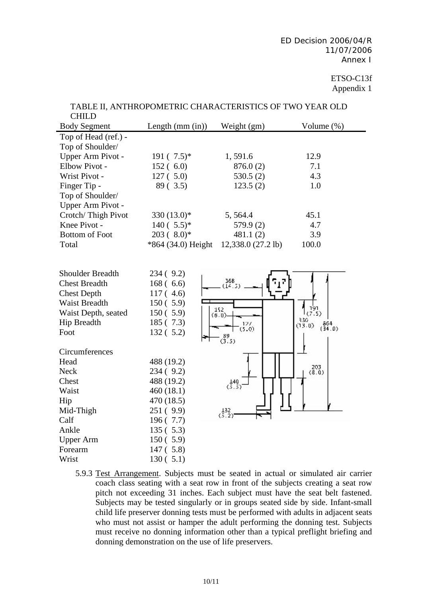| CLILLU                |                    |                       |                                       |
|-----------------------|--------------------|-----------------------|---------------------------------------|
| <b>Body Segment</b>   | Length $(mm(in))$  | Weight (gm)           | Volume $(\%)$                         |
| Top of Head (ref.) -  |                    |                       |                                       |
| Top of Shoulder/      |                    |                       |                                       |
| Upper Arm Pivot -     | $191(7.5)^*$       | 1,591.6               | 12.9                                  |
| Elbow Pivot -         | 152(6.0)           | 876.0(2)              | 7.1                                   |
| Wrist Pivot -         | 127(.5.0)          | 530.5(2)              | 4.3                                   |
| Finger Tip -          | 89(3.5)            | 123.5(2)              | 1.0                                   |
| Top of Shoulder/      |                    |                       |                                       |
| Upper Arm Pivot -     |                    |                       |                                       |
| Crotch/Thigh Pivot    | 330 $(13.0)$ *     | 5, 564.4              | 45.1                                  |
| Knee Pivot -          | $140(.5.5)*$       | 579.9(2)              | 4.7                                   |
| <b>Bottom of Foot</b> | $203(8.0)*$        | 481.1(2)              | 3.9                                   |
| Total                 | *864 (34.0) Height | 12,338.0 (27.2 lb)    | 100.0                                 |
|                       |                    |                       |                                       |
|                       |                    |                       |                                       |
| Shoulder Breadth      | 234(9.2)           |                       |                                       |
| <b>Chest Breadth</b>  | 168(6.6)           | 368<br>(14.5)         |                                       |
| <b>Chest Depth</b>    | 117(4.6)           |                       |                                       |
| Waist Breadth         | 150(5.9)           |                       |                                       |
| Waist Depth, seated   | 150(5.9)           | 152<br>(6.0)          |                                       |
| <b>Hip Breadth</b>    | 185 (7.3)          | $\frac{127}{(5,0)}$   | 330<br>$\frac{864}{(34.0)}$<br>(13.0) |
| Foot                  | 132(5.2)           |                       |                                       |
|                       |                    | $\overset{89}{(3.5)}$ |                                       |
| Circumferences        |                    |                       |                                       |
| Head                  | 488 (19.2)         |                       |                                       |
| <b>Neck</b>           | 234 (9.2)          |                       | $\genfrac{}{}{0pt}{}{203}{(8.0)}$     |
| Chest                 | 488 (19.2)         | $\binom{140}{5.5}$    |                                       |
| Waist                 | 460(18.1)          |                       |                                       |
| Hip                   | 470 (18.5)         |                       |                                       |
| Mid-Thigh             | 251(9.9)           | $\binom{132}{5.2}$    |                                       |
| Calf                  | 196(7.7)           |                       |                                       |
| Ankle                 | 135(5.3)           |                       |                                       |
| <b>Upper Arm</b>      | 150(5.9)           |                       |                                       |
| Forearm               | 147(5.8)           |                       |                                       |
| Wrist                 | 130(5.1)           |                       |                                       |

#### TABLE II, ANTHROPOMETRIC CHARACTERISTICS OF TWO YEAR OLD  $C$ HILD

5.9.3 Test Arrangement. Subjects must be seated in actual or simulated air carrier coach class seating with a seat row in front of the subjects creating a seat row pitch not exceeding 31 inches. Each subject must have the seat belt fastened. Subjects may be tested singularly or in groups seated side by side. Infant-small child life preserver donning tests must be performed with adults in adjacent seats who must not assist or hamper the adult performing the donning test. Subjects must receive no donning information other than a typical preflight briefing and donning demonstration on the use of life preservers.